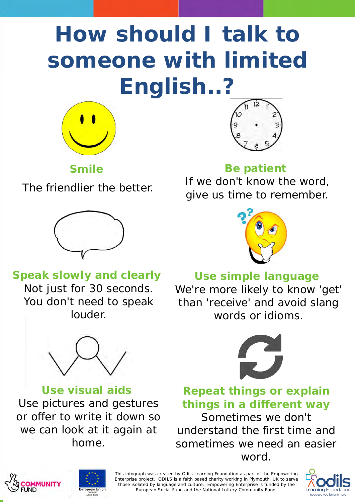# **How should I talk to someone with limited English..?**



**Smile a**

The friendlier the better.



## **Speak slowly and clearly**

Not just for 30 seconds. You don't need to speak louder.



**Use visual aids** Use pictures and gestures or offer to write it down so we can look at it again at home.



### **Be patient**

If we don't know the word, give us time to remember.



## **Use simple language**

We're more likely to know 'get' than 'receive' and avoid slang words or idioms.



**Repeat things or explain things in a different way** Sometimes we don't

understand the first time and sometimes we need an easier word.





This infograph was created by Odils Learning Foundation as part of the Empowering Enterprise project. ODILS is a faith based charity working in Plymouth, UK to serve those isolated by language and culture. Empowering Enterprise is funded by the European Social Fund and the National Lottery Community Fund.